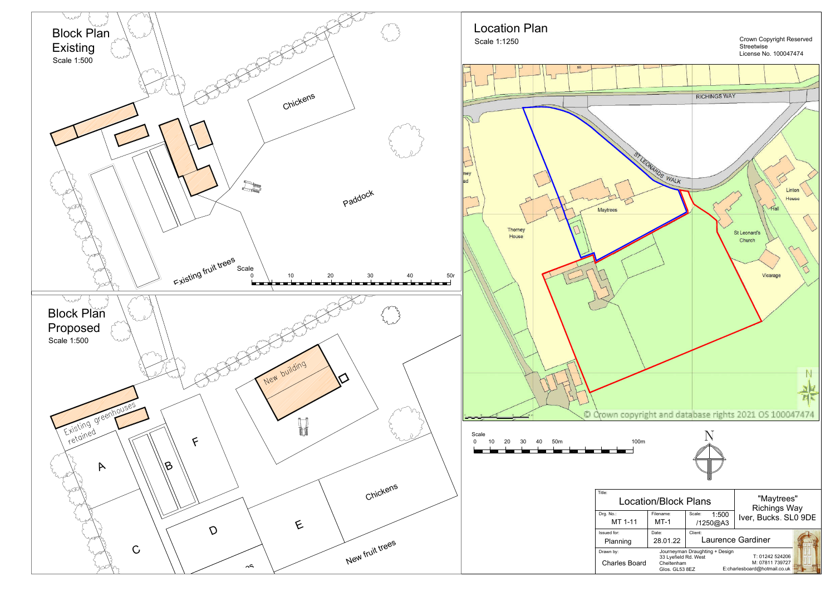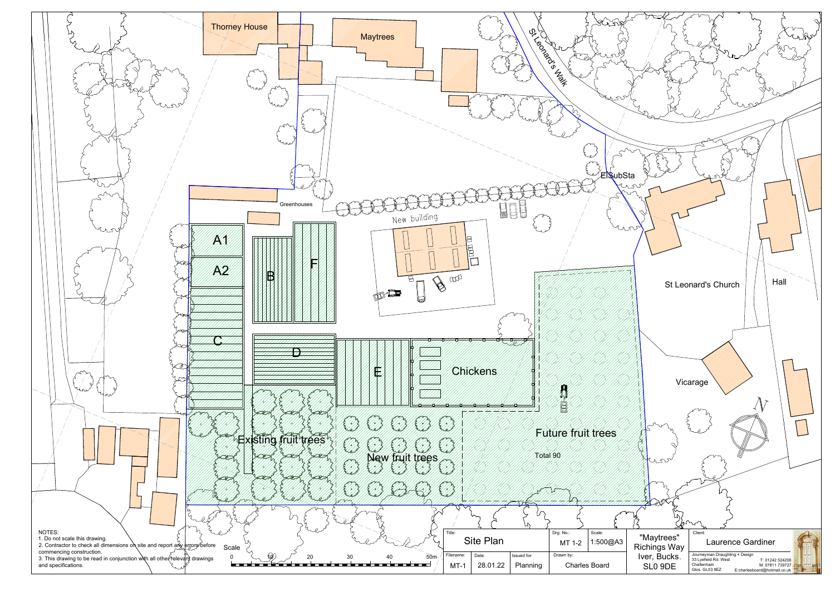